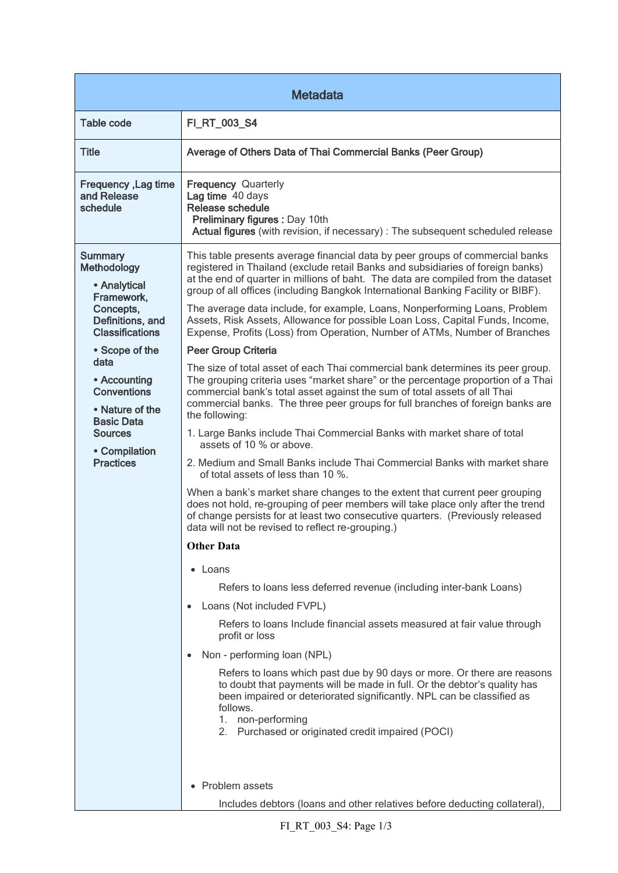| <b>Metadata</b>                                                                                                                                                                        |                                                                                                                                                                                                                                                                                                                                                                                                                         |  |
|----------------------------------------------------------------------------------------------------------------------------------------------------------------------------------------|-------------------------------------------------------------------------------------------------------------------------------------------------------------------------------------------------------------------------------------------------------------------------------------------------------------------------------------------------------------------------------------------------------------------------|--|
| <b>Table code</b>                                                                                                                                                                      | FI_RT_003_S4                                                                                                                                                                                                                                                                                                                                                                                                            |  |
| <b>Title</b>                                                                                                                                                                           | Average of Others Data of Thai Commercial Banks (Peer Group)                                                                                                                                                                                                                                                                                                                                                            |  |
| Frequency, Lag time<br>and Release<br>schedule                                                                                                                                         | <b>Frequency Quarterly</b><br>Lag time 40 days<br>Release schedule<br>Preliminary figures : Day 10th<br>Actual figures (with revision, if necessary) : The subsequent scheduled release                                                                                                                                                                                                                                 |  |
| <b>Summary</b><br>Methodology<br>• Analytical<br>Framework,<br>Concepts,<br>Definitions, and<br><b>Classifications</b><br>• Scope of the<br>data<br>• Accounting<br><b>Conventions</b> | This table presents average financial data by peer groups of commercial banks<br>registered in Thailand (exclude retail Banks and subsidiaries of foreign banks)<br>at the end of quarter in millions of baht. The data are compiled from the dataset<br>group of all offices (including Bangkok International Banking Facility or BIBF).<br>The average data include, for example, Loans, Nonperforming Loans, Problem |  |
|                                                                                                                                                                                        | Assets, Risk Assets, Allowance for possible Loan Loss, Capital Funds, Income,<br>Expense, Profits (Loss) from Operation, Number of ATMs, Number of Branches                                                                                                                                                                                                                                                             |  |
|                                                                                                                                                                                        | <b>Peer Group Criteria</b>                                                                                                                                                                                                                                                                                                                                                                                              |  |
|                                                                                                                                                                                        | The size of total asset of each Thai commercial bank determines its peer group.<br>The grouping criteria uses "market share" or the percentage proportion of a Thai<br>commercial bank's total asset against the sum of total assets of all Thai<br>commercial banks. The three peer groups for full branches of foreign banks are                                                                                      |  |
| • Nature of the<br><b>Basic Data</b>                                                                                                                                                   | the following:                                                                                                                                                                                                                                                                                                                                                                                                          |  |
| <b>Sources</b><br>• Compilation<br><b>Practices</b>                                                                                                                                    | 1. Large Banks include Thai Commercial Banks with market share of total<br>assets of 10 % or above.                                                                                                                                                                                                                                                                                                                     |  |
|                                                                                                                                                                                        | 2. Medium and Small Banks include Thai Commercial Banks with market share<br>of total assets of less than 10 %.                                                                                                                                                                                                                                                                                                         |  |
|                                                                                                                                                                                        | When a bank's market share changes to the extent that current peer grouping<br>does not hold, re-grouping of peer members will take place only after the trend<br>of change persists for at least two consecutive quarters. (Previously released<br>data will not be revised to reflect re-grouping.)                                                                                                                   |  |
|                                                                                                                                                                                        | <b>Other Data</b>                                                                                                                                                                                                                                                                                                                                                                                                       |  |
|                                                                                                                                                                                        | • Loans                                                                                                                                                                                                                                                                                                                                                                                                                 |  |
|                                                                                                                                                                                        | Refers to loans less deferred revenue (including inter-bank Loans)                                                                                                                                                                                                                                                                                                                                                      |  |
|                                                                                                                                                                                        | Loans (Not included FVPL)<br>$\bullet$                                                                                                                                                                                                                                                                                                                                                                                  |  |
|                                                                                                                                                                                        | Refers to loans Include financial assets measured at fair value through<br>profit or loss                                                                                                                                                                                                                                                                                                                               |  |
|                                                                                                                                                                                        | Non - performing loan (NPL)<br>$\bullet$                                                                                                                                                                                                                                                                                                                                                                                |  |
|                                                                                                                                                                                        | Refers to loans which past due by 90 days or more. Or there are reasons<br>to doubt that payments will be made in full. Or the debtor's quality has<br>been impaired or deteriorated significantly. NPL can be classified as<br>follows.<br>1. non-performing<br>2. Purchased or originated credit impaired (POCI)                                                                                                      |  |
|                                                                                                                                                                                        |                                                                                                                                                                                                                                                                                                                                                                                                                         |  |
|                                                                                                                                                                                        | • Problem assets<br>Includes debtors (loans and other relatives before deducting collateral),                                                                                                                                                                                                                                                                                                                           |  |
|                                                                                                                                                                                        |                                                                                                                                                                                                                                                                                                                                                                                                                         |  |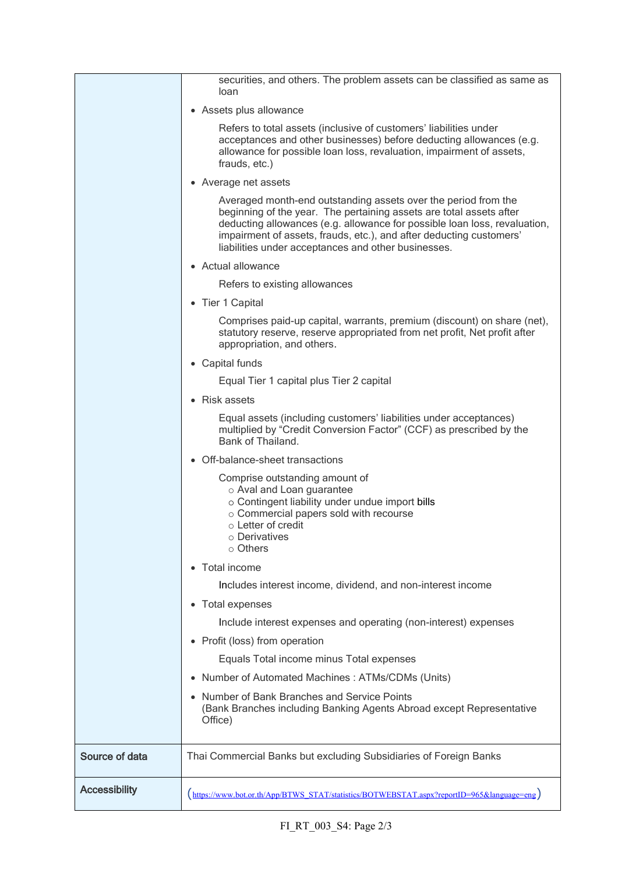|                      | securities, and others. The problem assets can be classified as same as<br>loan                                                                                                                                                                                                                                                                  |
|----------------------|--------------------------------------------------------------------------------------------------------------------------------------------------------------------------------------------------------------------------------------------------------------------------------------------------------------------------------------------------|
|                      | • Assets plus allowance                                                                                                                                                                                                                                                                                                                          |
|                      | Refers to total assets (inclusive of customers' liabilities under<br>acceptances and other businesses) before deducting allowances (e.g.<br>allowance for possible loan loss, revaluation, impairment of assets,<br>frauds, etc.)                                                                                                                |
|                      | • Average net assets                                                                                                                                                                                                                                                                                                                             |
|                      | Averaged month-end outstanding assets over the period from the<br>beginning of the year. The pertaining assets are total assets after<br>deducting allowances (e.g. allowance for possible loan loss, revaluation,<br>impairment of assets, frauds, etc.), and after deducting customers'<br>liabilities under acceptances and other businesses. |
|                      | • Actual allowance                                                                                                                                                                                                                                                                                                                               |
|                      | Refers to existing allowances                                                                                                                                                                                                                                                                                                                    |
|                      | • Tier 1 Capital                                                                                                                                                                                                                                                                                                                                 |
|                      | Comprises paid-up capital, warrants, premium (discount) on share (net),<br>statutory reserve, reserve appropriated from net profit, Net profit after<br>appropriation, and others.                                                                                                                                                               |
|                      | • Capital funds                                                                                                                                                                                                                                                                                                                                  |
|                      | Equal Tier 1 capital plus Tier 2 capital                                                                                                                                                                                                                                                                                                         |
|                      | • Risk assets                                                                                                                                                                                                                                                                                                                                    |
|                      | Equal assets (including customers' liabilities under acceptances)<br>multiplied by "Credit Conversion Factor" (CCF) as prescribed by the<br>Bank of Thailand.                                                                                                                                                                                    |
|                      | • Off-balance-sheet transactions                                                                                                                                                                                                                                                                                                                 |
|                      | Comprise outstanding amount of<br>o Aval and Loan guarantee<br>o Contingent liability under undue import bills<br>o Commercial papers sold with recourse<br>$\circ$ Letter of credit<br>○ Derivatives<br>$\circ$ Others                                                                                                                          |
|                      | Total income                                                                                                                                                                                                                                                                                                                                     |
|                      | Includes interest income, dividend, and non-interest income                                                                                                                                                                                                                                                                                      |
|                      | Total expenses                                                                                                                                                                                                                                                                                                                                   |
|                      | Include interest expenses and operating (non-interest) expenses                                                                                                                                                                                                                                                                                  |
|                      | Profit (loss) from operation                                                                                                                                                                                                                                                                                                                     |
|                      | Equals Total income minus Total expenses                                                                                                                                                                                                                                                                                                         |
|                      | Number of Automated Machines: ATMs/CDMs (Units)                                                                                                                                                                                                                                                                                                  |
|                      | Number of Bank Branches and Service Points<br>(Bank Branches including Banking Agents Abroad except Representative<br>Office)                                                                                                                                                                                                                    |
| Source of data       | Thai Commercial Banks but excluding Subsidiaries of Foreign Banks                                                                                                                                                                                                                                                                                |
| <b>Accessibility</b> | (https://www.bot.or.th/App/BTWS_STAT/statistics/BOTWEBSTAT.aspx?reportID=965&language=eng)                                                                                                                                                                                                                                                       |